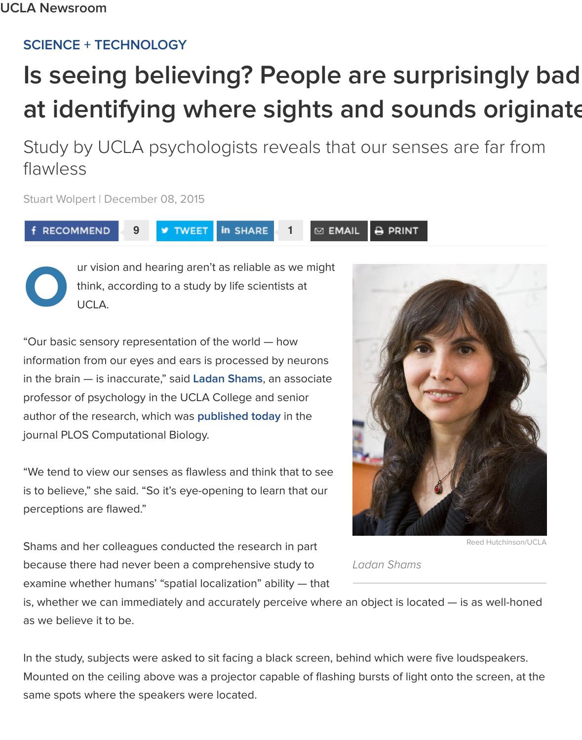## Study by UCLA psychologists reveals that our senses are fl[awless](http://newsroom.ucla.edu/topics/science)

**⊠ EMAIL** 

Stuart Wolpert | December 08, 2015

RECOMMEND

**9** TWEET In SHARE

**O**

ur vision and hearing aren't as reliable as we might think, according to a study by life scientists at UCLA.

"Our basic sensory representation of the world — how information from our eyes and ears is processed by neurons in the brain — is inaccurate," said **Ladan Shams**, an associate professor of psychology in the UCLA College and senior author of the research, which was **published today** in the journal PLOS Computational Biology.

"We tend to view our senses as flawless and think that to see is to believe," she said. "So it's eye-opening to learn that our perceptions are flawed."

Shams and her colleagues condu[cted the research](http://journals.plos.org/ploscompbiol/article?id=10.1371/journal.pcbi.1004649) in part because there had never been a comprehensive study to examine whether humans' "spatial localization" ability — that



**B PRINT** 

Re

*Ladan Shams*

is, whether we can immediately and accurately perceive where an object is located - is a as we believe it to be.

In the study, subjects were asked to sit facing a black screen, behind which were five loud Mounted on the ceiling above was a projector capable of flashing bursts of light onto the same spots where the speakers were located.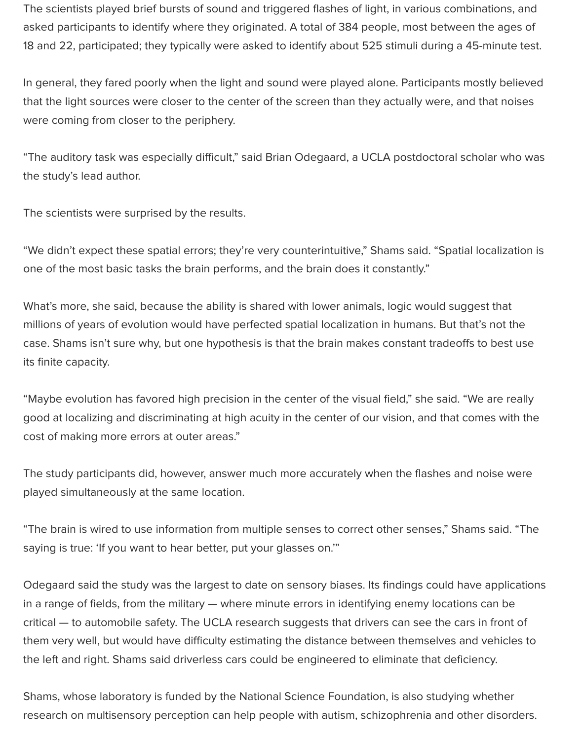The scientists played brief bursts of sound and triggered flashes of light, in various combinations, and asked participants to identify where they originated. A total of 384 people, most between the ages of 18 and 22, participated; they typically were asked to identify about 525 stimuli during a 45-minute test.

In general, they fared poorly when the light and sound were played alone. Participants mostly believed that the light sources were closer to the center of the screen than they actually were, and that noises were coming from closer to the periphery.

"The auditory task was especially difficult," said Brian Odegaard, a UCLA postdoctoral scholar who was the study's lead author.

The scientists were surprised by the results.

"We didn't expect these spatial errors; they're very counterintuitive," Shams said. "Spatial localization is one of the most basic tasks the brain performs, and the brain does it constantly."

What's more, she said, because the ability is shared with lower animals, logic would suggest that millions of years of evolution would have perfected spatial localization in humans. But that's not the case. Shams isn't sure why, but one hypothesis is that the brain makes constant tradeoffs to best use its finite capacity.

"Maybe evolution has favored high precision in the center of the visual field," she said. "We are really good at localizing and discriminating at high acuity in the center of our vision, and that comes with the cost of making more errors at outer areas."

The study participants did, however, answer much more accurately when the flashes and noise were played simultaneously at the same location.

"The brain is wired to use information from multiple senses to correct other senses," Shams said. "The saying is true: 'If you want to hear better, put your glasses on.'"

Odegaard said the study was the largest to date on sensory biases. Its findings could have applications in a range of fields, from the military — where minute errors in identifying enemy locations can be critical — to automobile safety. The UCLA research suggests that drivers can see the cars in front of them very well, but would have difficulty estimating the distance between themselves and vehicles to the left and right. Shams said driverless cars could be engineered to eliminate that deficiency.

Shams, whose laboratory is funded by the National Science Foundation, is also studying whether research on multisensory perception can help people with autism, schizophrenia and other disorders.